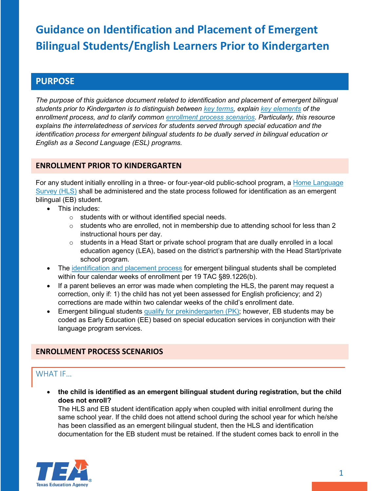# **PURPOSE**

*The purpose of this guidance document related to identification and placement of emergent bilingual students prior to Kindergarten is to distinguish between [key terms,](#page-2-0) explain [key elements](#page-0-0) of the enrollment process, and to clarify common [enrollment process scenarios.](#page-0-1) Particularly, this resource explains the interrelatedness of services for students served through special education and the identification process for emergent bilingual students to be dually served in bilingual education or English as a Second Language (ESL) programs.*

## <span id="page-0-0"></span>**ENROLLMENT PRIOR TO KINDERGARTEN**

For any student initially enrolling in a three- or four-year-old public-school program, a [Home Language](https://www.txel.org/lpac/identification/)  [Survey \(HLS\)](https://www.txel.org/lpac/identification/) shall be administered and the state process followed for identification as an emergent bilingual (EB) student.

- This includes:
	- o students with or without identified special needs.
	- $\circ$  students who are enrolled, not in membership due to attending school for less than 2 instructional hours per day.
	- $\circ$  students in a Head Start or private school program that are dually enrolled in a local education agency (LEA), based on the district's partnership with the Head Start/private school program.
- The [identification and placement process](https://tea.texas.gov/sites/default/files/eb-el-decision-chart-for-lpac-accessible-version.pdf) for emergent bilingual students shall be completed within four calendar weeks of enrollment per 19 TAC §89.1226(b).
- If a parent believes an error was made when completing the HLS, the parent may request a correction, only if: 1) the child has not yet been assessed for English proficiency; and 2) corrections are made within two calendar weeks of the child's enrollment date.
- Emergent bilingual students qualify for prekindergarten  $(PK)$ ; however, EB students may be coded as Early Education (EE) based on special education services in conjunction with their language program services.

## <span id="page-0-1"></span>**ENROLLMENT PROCESS SCENARIOS**

## WHAT IF…

• **the child is identified as an emergent bilingual student during registration, but the child does not enroll?**

The HLS and EB student identification apply when coupled with initial enrollment during the same school year. If the child does not attend school during the school year for which he/she has been classified as an emergent bilingual student, then the HLS and identification documentation for the EB student must be retained. If the student comes back to enroll in the

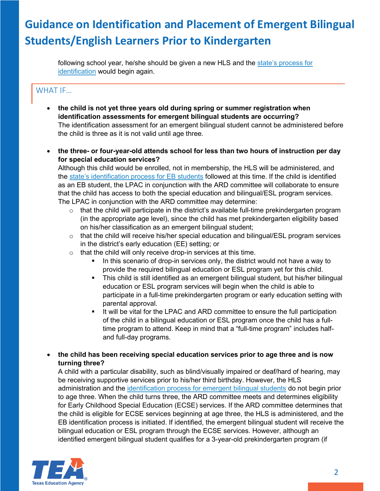following school year, he/she should be given a new HLS and the state's process for [identification](https://tea.texas.gov/sites/default/files/eb-el-decision-chart-for-lpac-accessible-version.pdf) would begin again.

# WHAT IF…

- **the child is not yet three years old during spring or summer registration when identification assessments for emergent bilingual students are occurring?** The identification assessment for an emergent bilingual student cannot be administered before the child is three as it is not valid until age three.
- **the three- or four-year-old attends school for less than two hours of instruction per day for special education services?**

Although this child would be enrolled, not in membership, the HLS will be administered, and the [state's identification process](https://tea.texas.gov/sites/default/files/eb-el-decision-chart-for-lpac-accessible-version.pdf) for EB students followed at this time. If the child is identified as an EB student, the LPAC in conjunction with the ARD committee will collaborate to ensure that the child has access to both the special education and bilingual/ESL program services. The LPAC in conjunction with the ARD committee may determine:

- $\circ$  that the child will participate in the district's available full-time prekindergarten program (in the appropriate age level), since the child has met prekindergarten eligibility based on his/her classification as an emergent bilingual student;
- o that the child will receive his/her special education and bilingual/ESL program services in the district's early education (EE) setting; or
- $\circ$  that the child will only receive drop-in services at this time.
	- In this scenario of drop-in services only, the district would not have a way to provide the required bilingual education or ESL program yet for this child.
	- This child is still identified as an emergent bilingual student, but his/her bilingual education or ESL program services will begin when the child is able to participate in a full-time prekindergarten program or early education setting with parental approval.
	- It will be vital for the LPAC and ARD committee to ensure the full participation of the child in a bilingual education or ESL program once the child has a fulltime program to attend. Keep in mind that a "full-time program" includes halfand full-day programs.
- **the child has been receiving special education services prior to age three and is now turning three?**

A child with a particular disability, such as blind/visually impaired or deaf/hard of hearing, may be receiving supportive services prior to his/her third birthday. However, the HLS administration and the [identification process](https://tea.texas.gov/sites/default/files/eb-el-decision-chart-for-lpac-accessible-version.pdf) for emergent bilingual students do not begin prior to age three. When the child turns three, the ARD committee meets and determines eligibility for Early Childhood Special Education (ECSE) services. If the ARD committee determines that the child is eligible for ECSE services beginning at age three, the HLS is administered, and the EB identification process is initiated. If identified, the emergent bilingual student will receive the bilingual education or ESL program through the ECSE services. However, although an identified emergent bilingual student qualifies for a 3-year-old prekindergarten program (if

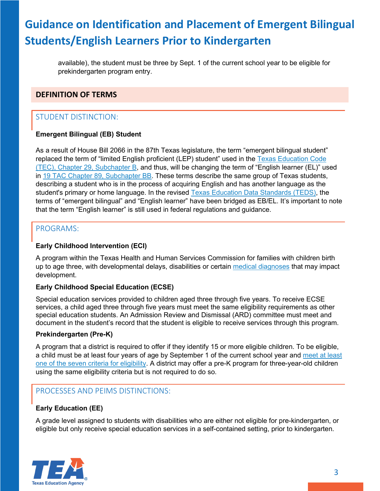available), the student must be three by Sept. 1 of the current school year to be eligible for prekindergarten program entry.

## <span id="page-2-0"></span>**DEFINITION OF TERMS**

## STUDENT DISTINCTION:

### **Emergent Bilingual (EB) Student**

As a result of House Bill 2066 in the 87th Texas legislature, the term "emergent bilingual student" replaced the term of "limited English proficient (LEP) student" used in the [Texas Education Code](https://statutes.capitol.texas.gov/Docs/ED/htm/ED.29.htm#29.051)  [\(TEC\), Chapter 29, Subchapter B,](https://statutes.capitol.texas.gov/Docs/ED/htm/ED.29.htm#29.051) and thus, will be changing the term of "English learner (EL)" used in [19 TAC Chapter 89, Subchapter BB.](http://ritter.tea.state.tx.us/rules/tac/chapter089/ch089bb.html) These terms describe the same group of Texas students, describing a student who is in the process of acquiring English and has another language as the student's primary or home language. In the revised [Texas Education Data Standards \(TEDS\),](https://www.texasstudentdatasystem.org/TSDS/TEDS/TEDS_Latest_Release) the terms of "emergent bilingual" and "English learner" have been bridged as EB/EL. It's important to note that the term "English learner" is still used in federal regulations and guidance.

### PROGRAMS:

### **Early Childhood Intervention (ECI)**

A program within the Texas Health and Human Services Commission for families with children birth up to age three, with developmental delays, disabilities or certain [medical diagnoses](https://diagsearch.hhsc.state.tx.us/) that may impact development.

### **Early Childhood Special Education (ECSE)**

Special education services provided to children aged three through five years. To receive ECSE services, a child aged three through five years must meet the same eligibility requirements as other special education students. An Admission Review and Dismissal (ARD) committee must meet and document in the student's record that the student is eligible to receive services through this program.

### **Prekindergarten (Pre-K)**

A program that a district is required to offer if they identify 15 or more eligible children. To be eligible, a child must be at least four years of age by September 1 of the current school year and [meet at least](https://tea.texas.gov/ece/eligibility.aspx)  [one of the seven criteria for eligibility.](https://tea.texas.gov/ece/eligibility.aspx) A district may offer a pre-K program for three-year-old children using the same eligibility criteria but is not required to do so.

## PROCESSES AND PEIMS DISTINCTIONS:

### **Early Education (EE)**

A grade level assigned to students with disabilities who are either not eligible for pre-kindergarten, or eligible but only receive special education services in a self-contained setting, prior to kindergarten.